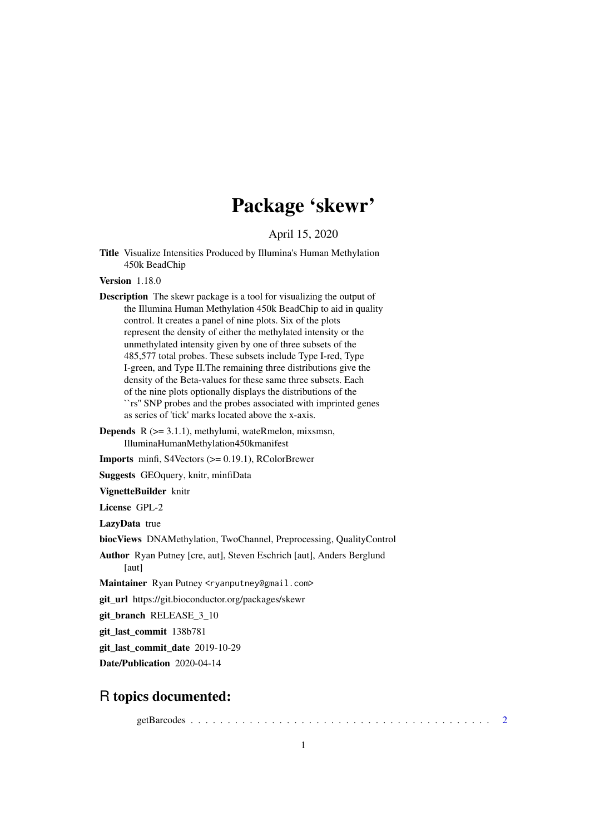## Package 'skewr'

April 15, 2020

Title Visualize Intensities Produced by Illumina's Human Methylation 450k BeadChip

Version 1.18.0

- Description The skewr package is a tool for visualizing the output of the Illumina Human Methylation 450k BeadChip to aid in quality control. It creates a panel of nine plots. Six of the plots represent the density of either the methylated intensity or the unmethylated intensity given by one of three subsets of the 485,577 total probes. These subsets include Type I-red, Type I-green, and Type II.The remaining three distributions give the density of the Beta-values for these same three subsets. Each of the nine plots optionally displays the distributions of the ``rs'' SNP probes and the probes associated with imprinted genes as series of 'tick' marks located above the x-axis.
- **Depends**  $R$  ( $>= 3.1.1$ ), methylumi, wateRmelon, mixsmsn, IlluminaHumanMethylation450kmanifest

Imports minfi, S4Vectors (>= 0.19.1), RColorBrewer

Suggests GEOquery, knitr, minfiData

VignetteBuilder knitr

License GPL-2

LazyData true

biocViews DNAMethylation, TwoChannel, Preprocessing, QualityControl

Author Ryan Putney [cre, aut], Steven Eschrich [aut], Anders Berglund [aut]

Maintainer Ryan Putney <ryanputney@gmail.com>

git\_url https://git.bioconductor.org/packages/skewr

git\_branch RELEASE\_3\_10

git\_last\_commit 138b781

git last commit date 2019-10-29

Date/Publication 2020-04-14

### R topics documented:

getBarcodes . . . . . . . . . . . . . . . . . . . . . . . . . . . . . . . . . . . . . . . . . [2](#page-1-0)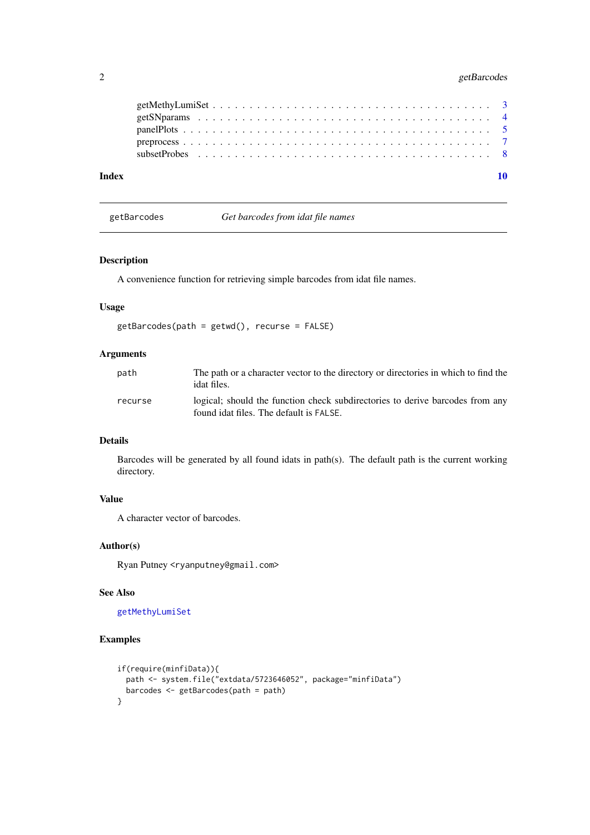#### <span id="page-1-0"></span>2 getBarcodes

| Index |  |  |  |  |  |  |  |  |  |  |  |  |  |  |  |  |  |  |  |
|-------|--|--|--|--|--|--|--|--|--|--|--|--|--|--|--|--|--|--|--|

<span id="page-1-1"></span>getBarcodes *Get barcodes from idat file names*

#### Description

A convenience function for retrieving simple barcodes from idat file names.

#### Usage

```
getBarcodes(path = getwd(), recurse = FALSE)
```
#### Arguments

| path    | The path or a character vector to the directory or directories in which to find the<br>idat files.                       |
|---------|--------------------------------------------------------------------------------------------------------------------------|
| recurse | logical; should the function check subdirectories to derive barcodes from any<br>found idat files. The default is FALSE. |

#### Details

Barcodes will be generated by all found idats in path(s). The default path is the current working directory.

#### Value

A character vector of barcodes.

#### Author(s)

Ryan Putney <ryanputney@gmail.com>

#### See Also

[getMethyLumiSet](#page-2-1)

#### Examples

```
if(require(minfiData)){
  path <- system.file("extdata/5723646052", package="minfiData")
  barcodes <- getBarcodes(path = path)
}
```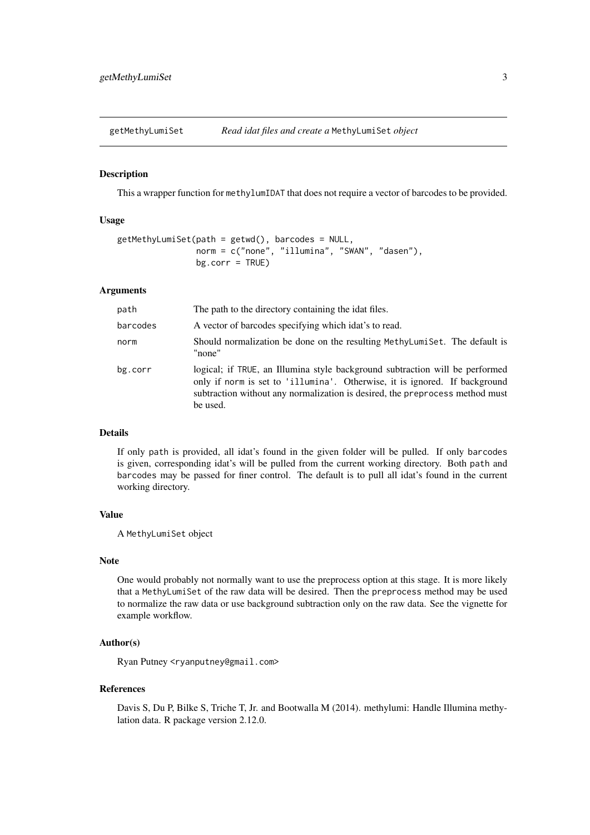<span id="page-2-1"></span><span id="page-2-0"></span>getMethyLumiSet *Read idat files and create a* MethyLumiSet *object*

#### Description

This a wrapper function for methylumIDAT that does not require a vector of barcodes to be provided.

#### Usage

```
getMethylLumiset(path = getwd(), barcodes = NULL,norm = c("none", "illumina", "SWAN", "dasen"),
                bg.corr = TRUE)
```
#### Arguments

| path     | The path to the directory containing the idat files.                                                                                                                                                                                                   |
|----------|--------------------------------------------------------------------------------------------------------------------------------------------------------------------------------------------------------------------------------------------------------|
| barcodes | A vector of barcodes specifying which idat's to read.                                                                                                                                                                                                  |
| norm     | Should normalization be done on the resulting MethyLumiSet. The default is<br>"none"                                                                                                                                                                   |
| bg.corr  | logical; if TRUE, an Illumina style background subtraction will be performed<br>only if norm is set to 'illumina'. Otherwise, it is ignored. If background<br>subtraction without any normalization is desired, the preprocess method must<br>be used. |

#### Details

If only path is provided, all idat's found in the given folder will be pulled. If only barcodes is given, corresponding idat's will be pulled from the current working directory. Both path and barcodes may be passed for finer control. The default is to pull all idat's found in the current working directory.

#### Value

A MethyLumiSet object

#### Note

One would probably not normally want to use the preprocess option at this stage. It is more likely that a MethyLumiSet of the raw data will be desired. Then the preprocess method may be used to normalize the raw data or use background subtraction only on the raw data. See the vignette for example workflow.

#### Author(s)

Ryan Putney <ryanputney@gmail.com>

#### References

Davis S, Du P, Bilke S, Triche T, Jr. and Bootwalla M (2014). methylumi: Handle Illumina methylation data. R package version 2.12.0.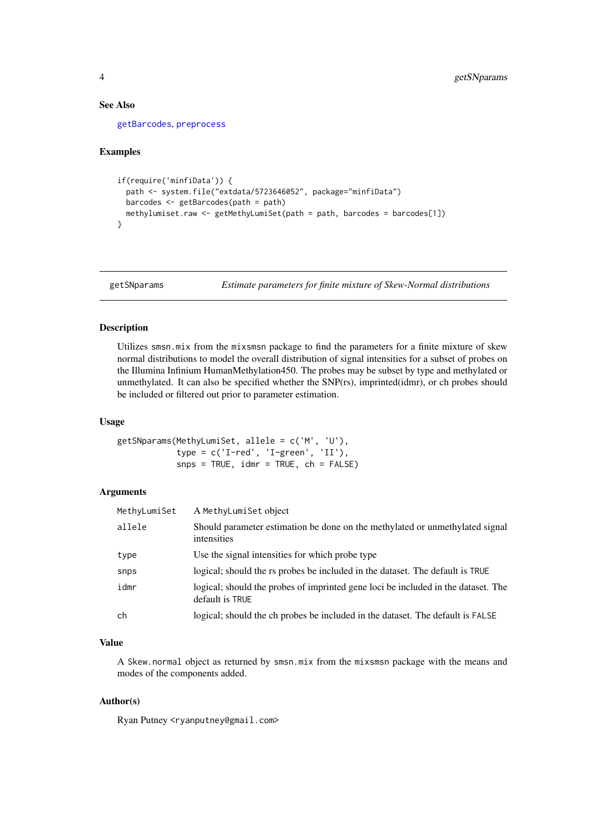#### See Also

[getBarcodes](#page-1-1), [preprocess](#page-6-1)

#### Examples

```
if(require('minfiData')) {
  path <- system.file("extdata/5723646052", package="minfiData")
 barcodes <- getBarcodes(path = path)
 methylumiset.raw <- getMethyLumiSet(path = path, barcodes = barcodes[1])
}
```
<span id="page-3-1"></span>getSNparams *Estimate parameters for finite mixture of Skew-Normal distributions*

#### Description

Utilizes smsn.mix from the mixsmsn package to find the parameters for a finite mixture of skew normal distributions to model the overall distribution of signal intensities for a subset of probes on the Illumina Infinium HumanMethylation450. The probes may be subset by type and methylated or unmethylated. It can also be specified whether the SNP(rs), imprinted(idmr), or ch probes should be included or filtered out prior to parameter estimation.

#### Usage

```
getSNparams(MethyLumiSet, allele = c('M', 'U'),
           type = c('I-red', 'I-green', 'II'),snps = TRUE, idmr = TRUE, ch = FALSE)
```
#### Arguments

| MethyLumiSet | A MethyLumiSet object                                                                                |
|--------------|------------------------------------------------------------------------------------------------------|
| allele       | Should parameter estimation be done on the methylated or unmethylated signal<br>intensities          |
| type         | Use the signal intensities for which probe type                                                      |
| snps         | logical; should the rs probes be included in the dataset. The default is TRUE                        |
| idmr         | logical; should the probes of imprinted gene loci be included in the dataset. The<br>default is TRUE |
| ch           | logical; should the ch probes be included in the dataset. The default is FALSE                       |

#### Value

A Skew.normal object as returned by smsn.mix from the mixsmsn package with the means and modes of the components added.

#### Author(s)

Ryan Putney <ryanputney@gmail.com>

<span id="page-3-0"></span>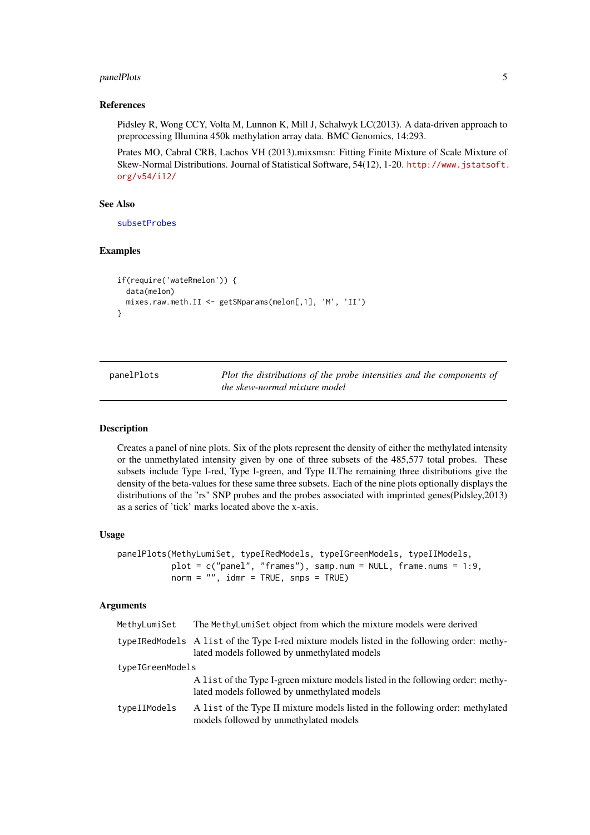#### <span id="page-4-0"></span>panelPlots 5 and 5 and 5 and 5 and 5 and 5 and 5 and 5 and 5 and 5 and 5 and 5 and 5 and 5 and 5 and 5 and 5 and 5 and 5 and 5 and 5 and 5 and 5 and 5 and 5 and 5 and 5 and 5 and 5 and 5 and 5 and 5 and 5 and 5 and 5 and 5

#### References

Pidsley R, Wong CCY, Volta M, Lunnon K, Mill J, Schalwyk LC(2013). A data-driven approach to preprocessing Illumina 450k methylation array data. BMC Genomics, 14:293.

Prates MO, Cabral CRB, Lachos VH (2013).mixsmsn: Fitting Finite Mixture of Scale Mixture of Skew-Normal Distributions. Journal of Statistical Software, 54(12), 1-20. [http://www.jstatsoft.](http://www.jstatsoft.org/v54/i12/) [org/v54/i12/](http://www.jstatsoft.org/v54/i12/)

#### See Also

[subsetProbes](#page-7-1)

#### Examples

```
if(require('wateRmelon')) {
  data(melon)
 mixes.raw.meth.II <- getSNparams(melon[,1], 'M', 'II')
}
```
panelPlots *Plot the distributions of the probe intensities and the components of the skew-normal mixture model*

#### Description

Creates a panel of nine plots. Six of the plots represent the density of either the methylated intensity or the unmethylated intensity given by one of three subsets of the 485,577 total probes. These subsets include Type I-red, Type I-green, and Type II.The remaining three distributions give the density of the beta-values for these same three subsets. Each of the nine plots optionally displays the distributions of the "rs" SNP probes and the probes associated with imprinted genes(Pidsley,2013) as a series of 'tick' marks located above the x-axis.

#### Usage

```
panelPlots(MethyLumiSet, typeIRedModels, typeIGreenModels, typeIIModels,
          plot = c("panel", "frames"), samp.num = NULL, frame.nums = 1:9,
          norm = ", idmr = TRUE, snps = TRUE)
```
#### Arguments

| MethyLumiSet     | The MethyLumiSet object from which the mixture models were derived                                                                           |  |  |  |  |
|------------------|----------------------------------------------------------------------------------------------------------------------------------------------|--|--|--|--|
|                  | typeIRedModels A list of the Type I-red mixture models listed in the following order: methy-<br>lated models followed by unmethylated models |  |  |  |  |
| typeIGreenModels |                                                                                                                                              |  |  |  |  |
|                  | A list of the Type I-green mixture models listed in the following order: methy-<br>lated models followed by unmethylated models              |  |  |  |  |
| typeIIModels     | A list of the Type II mixture models listed in the following order: methylated<br>models followed by unmethylated models                     |  |  |  |  |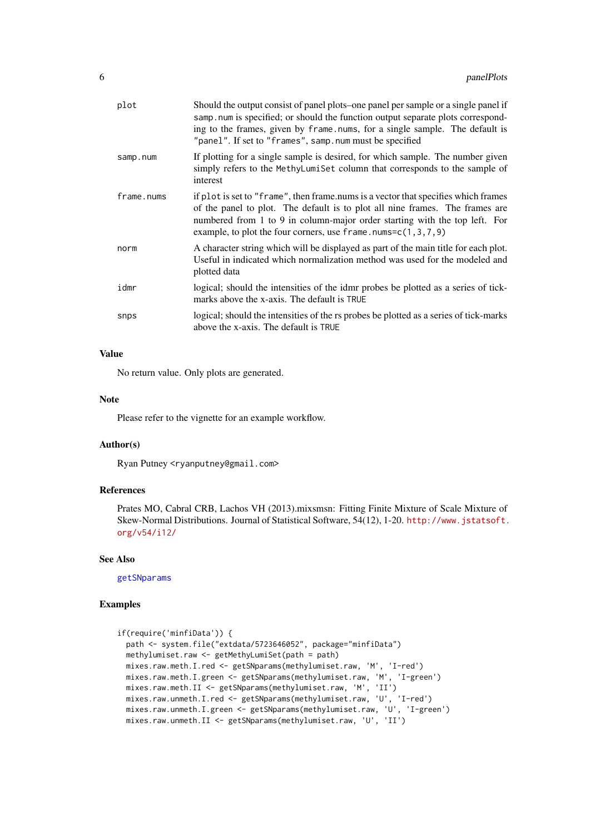<span id="page-5-0"></span>

| plot       | Should the output consist of panel plots–one panel per sample or a single panel if<br>samp num is specified; or should the function output separate plots correspond-<br>ing to the frames, given by frame nums, for a single sample. The default is<br>"panel". If set to "frames", samp.num must be specified      |
|------------|----------------------------------------------------------------------------------------------------------------------------------------------------------------------------------------------------------------------------------------------------------------------------------------------------------------------|
| samp.num   | If plotting for a single sample is desired, for which sample. The number given<br>simply refers to the MethyLumiSet column that corresponds to the sample of<br>interest                                                                                                                                             |
| frame.nums | if plot is set to "frame", then frame nums is a vector that specifies which frames<br>of the panel to plot. The default is to plot all nine frames. The frames are<br>numbered from 1 to 9 in column-major order starting with the top left. For<br>example, to plot the four corners, use $frame.\nnums=c(1,3,7,9)$ |
| norm       | A character string which will be displayed as part of the main title for each plot.<br>Useful in indicated which normalization method was used for the modeled and<br>plotted data                                                                                                                                   |
| idmr       | logical; should the intensities of the idmr probes be plotted as a series of tick-<br>marks above the x-axis. The default is TRUE                                                                                                                                                                                    |
| snps       | logical; should the intensities of the rs probes be plotted as a series of tick-marks<br>above the x-axis. The default is TRUE                                                                                                                                                                                       |
|            |                                                                                                                                                                                                                                                                                                                      |

#### Value

No return value. Only plots are generated.

#### Note

Please refer to the vignette for an example workflow.

#### Author(s)

Ryan Putney <ryanputney@gmail.com>

#### References

Prates MO, Cabral CRB, Lachos VH (2013).mixsmsn: Fitting Finite Mixture of Scale Mixture of Skew-Normal Distributions. Journal of Statistical Software, 54(12), 1-20. [http://www.jstatsoft.](http://www.jstatsoft.org/v54/i12/) [org/v54/i12/](http://www.jstatsoft.org/v54/i12/)

#### See Also

[getSNparams](#page-3-1)

#### Examples

```
if(require('minfiData')) {
 path <- system.file("extdata/5723646052", package="minfiData")
 methylumiset.raw <- getMethyLumiSet(path = path)
 mixes.raw.meth.I.red <- getSNparams(methylumiset.raw, 'M', 'I-red')
 mixes.raw.meth.I.green <- getSNparams(methylumiset.raw, 'M', 'I-green')
 mixes.raw.meth.II <- getSNparams(methylumiset.raw, 'M', 'II')
 mixes.raw.unmeth.I.red <- getSNparams(methylumiset.raw, 'U', 'I-red')
 mixes.raw.unmeth.I.green <- getSNparams(methylumiset.raw, 'U', 'I-green')
  mixes.raw.unmeth.II <- getSNparams(methylumiset.raw, 'U', 'II')
```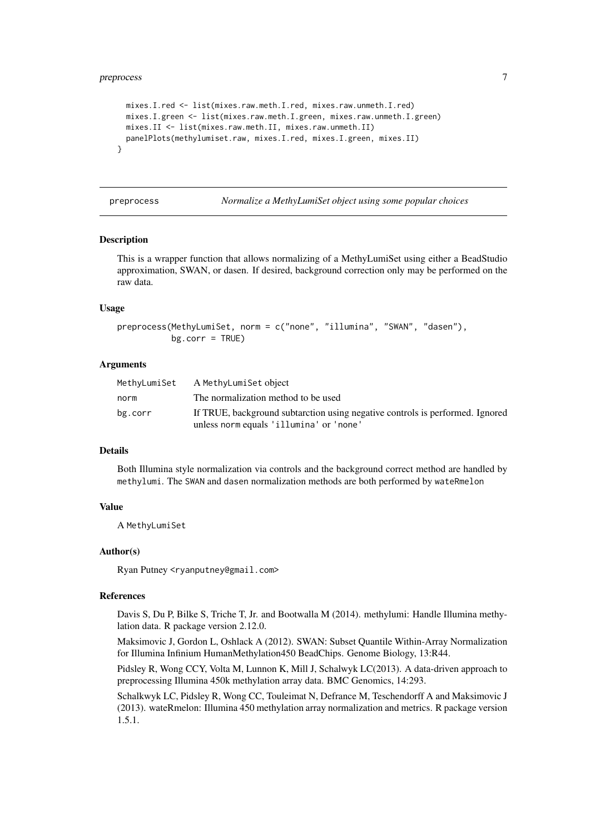#### <span id="page-6-0"></span>preprocess and the contract of the contract of the contract of the contract of the contract of the contract of the contract of the contract of the contract of the contract of the contract of the contract of the contract of

```
mixes.I.red <- list(mixes.raw.meth.I.red, mixes.raw.unmeth.I.red)
  mixes.I.green <- list(mixes.raw.meth.I.green, mixes.raw.unmeth.I.green)
  mixes.II <- list(mixes.raw.meth.II, mixes.raw.unmeth.II)
  panelPlots(methylumiset.raw, mixes.I.red, mixes.I.green, mixes.II)
}
```
<span id="page-6-1"></span>preprocess *Normalize a MethyLumiSet object using some popular choices*

#### Description

This is a wrapper function that allows normalizing of a MethyLumiSet using either a BeadStudio approximation, SWAN, or dasen. If desired, background correction only may be performed on the raw data.

#### Usage

```
preprocess(MethyLumiSet, norm = c("none", "illumina", "SWAN", "dasen"),
           bg.corr = TRUE)
```
#### Arguments

| MethyLumiSet | A MethyLumiSet object                                                         |
|--------------|-------------------------------------------------------------------------------|
| norm         | The normalization method to be used                                           |
| bg.corr      | If TRUE, background subtarction using negative controls is performed. Ignored |
|              | unless norm equals 'illumina' or 'none'                                       |

#### Details

Both Illumina style normalization via controls and the background correct method are handled by methylumi. The SWAN and dasen normalization methods are both performed by wateRmelon

#### Value

A MethyLumiSet

#### Author(s)

Ryan Putney <ryanputney@gmail.com>

#### References

Davis S, Du P, Bilke S, Triche T, Jr. and Bootwalla M (2014). methylumi: Handle Illumina methylation data. R package version 2.12.0.

Maksimovic J, Gordon L, Oshlack A (2012). SWAN: Subset Quantile Within-Array Normalization for Illumina Infinium HumanMethylation450 BeadChips. Genome Biology, 13:R44.

Pidsley R, Wong CCY, Volta M, Lunnon K, Mill J, Schalwyk LC(2013). A data-driven approach to preprocessing Illumina 450k methylation array data. BMC Genomics, 14:293.

Schalkwyk LC, Pidsley R, Wong CC, Touleimat N, Defrance M, Teschendorff A and Maksimovic J (2013). wateRmelon: Illumina 450 methylation array normalization and metrics. R package version 1.5.1.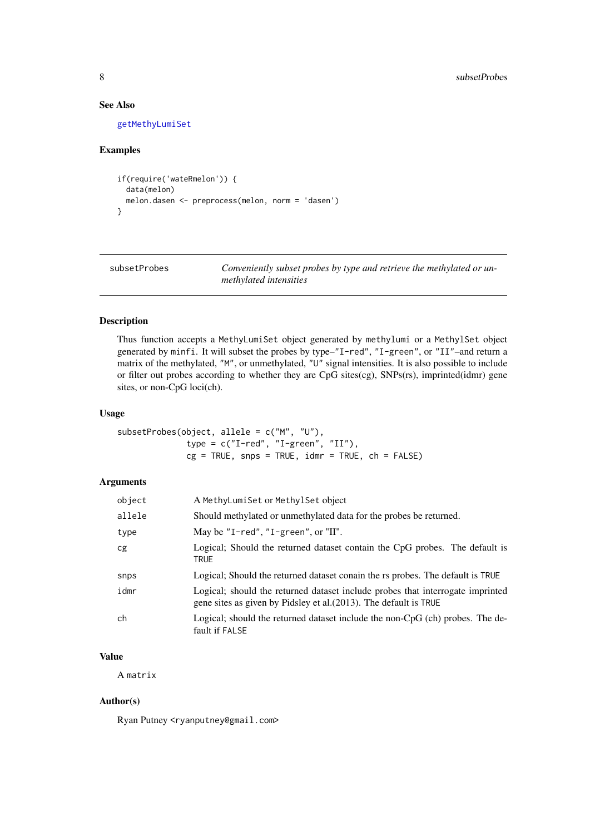#### See Also

[getMethyLumiSet](#page-2-1)

#### Examples

```
if(require('wateRmelon')) {
  data(melon)
 melon.dasen <- preprocess(melon, norm = 'dasen')
}
```
<span id="page-7-1"></span>subsetProbes *Conveniently subset probes by type and retrieve the methylated or unmethylated intensities*

#### Description

Thus function accepts a MethyLumiSet object generated by methylumi or a MethylSet object generated by minfi. It will subset the probes by type–"I-red", "I-green", or "II"–and return a matrix of the methylated, "M", or unmethylated, "U" signal intensities. It is also possible to include or filter out probes according to whether they are CpG sites(cg), SNPs(rs), imprinted(idmr) gene sites, or non-CpG loci(ch).

#### Usage

```
subsetProbes(object, allele = c("M", "U"),
              type = c("I-red", "I-green", "II"),
              cg = TRUE, snps = TRUE, idmr = TRUE, ch = FALSE)
```
#### Arguments

| object | A MethyLumiSet or MethylSet object                                                                                                                  |
|--------|-----------------------------------------------------------------------------------------------------------------------------------------------------|
| allele | Should methylated or unmethylated data for the probes be returned.                                                                                  |
| type   | May be "I-red", "I-green", or "II".                                                                                                                 |
| cg     | Logical; Should the returned dataset contain the CpG probes. The default is<br><b>TRUE</b>                                                          |
| snps   | Logical; Should the returned dataset conain the rs probes. The default is TRUE                                                                      |
| idmr   | Logical; should the returned dataset include probes that interrogate imprinted<br>gene sites as given by Pidsley et al. (2013). The default is TRUE |
| ch     | Logical; should the returned dataset include the non- $CpG$ (ch) probes. The de-<br>fault if FALSE                                                  |

#### Value

A matrix

#### Author(s)

Ryan Putney <ryanputney@gmail.com>

<span id="page-7-0"></span>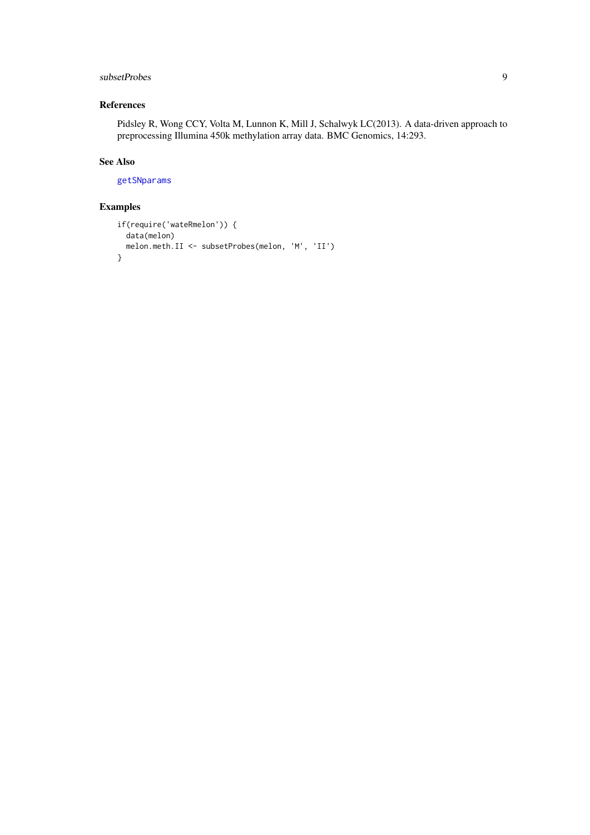#### <span id="page-8-0"></span>subsetProbes 9

#### References

Pidsley R, Wong CCY, Volta M, Lunnon K, Mill J, Schalwyk LC(2013). A data-driven approach to preprocessing Illumina 450k methylation array data. BMC Genomics, 14:293.

#### See Also

[getSNparams](#page-3-1)

#### Examples

```
if(require('wateRmelon')) {
 data(melon)
 melon.meth.II <- subsetProbes(melon, 'M', 'II')
}
```